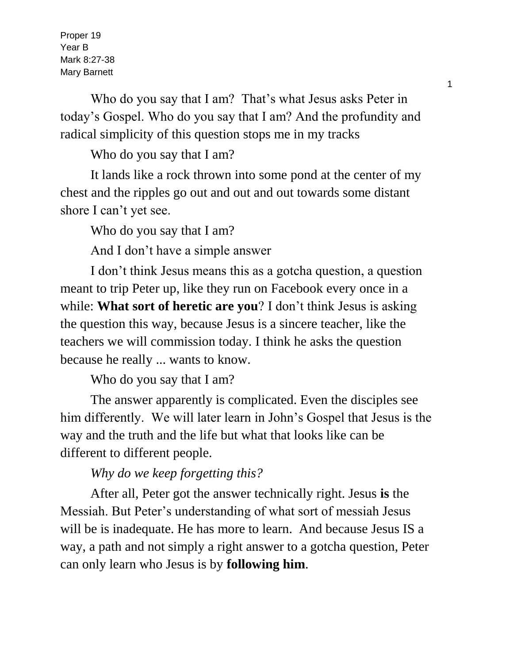Proper 19 Year B Mark 8:27-38 Mary Barnett

Who do you say that I am? That's what Jesus asks Peter in today's Gospel. Who do you say that I am? And the profundity and radical simplicity of this question stops me in my tracks

Who do you say that I am?

It lands like a rock thrown into some pond at the center of my chest and the ripples go out and out and out towards some distant shore I can't yet see.

Who do you say that I am?

And I don't have a simple answer

I don't think Jesus means this as a gotcha question, a question meant to trip Peter up, like they run on Facebook every once in a while: **What sort of heretic are you**? I don't think Jesus is asking the question this way, because Jesus is a sincere teacher, like the teachers we will commission today. I think he asks the question because he really ... wants to know.

Who do you say that I am?

The answer apparently is complicated. Even the disciples see him differently. We will later learn in John's Gospel that Jesus is the way and the truth and the life but what that looks like can be different to different people.

*Why do we keep forgetting this?*

After all, Peter got the answer technically right. Jesus **is** the Messiah. But Peter's understanding of what sort of messiah Jesus will be is inadequate. He has more to learn. And because Jesus IS a way, a path and not simply a right answer to a gotcha question, Peter can only learn who Jesus is by **following him**.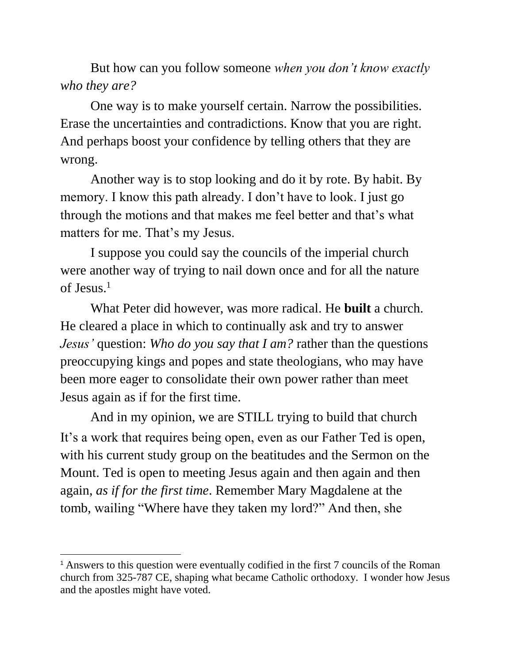But how can you follow someone *when you don't know exactly who they are?*

One way is to make yourself certain. Narrow the possibilities. Erase the uncertainties and contradictions. Know that you are right. And perhaps boost your confidence by telling others that they are wrong.

Another way is to stop looking and do it by rote. By habit. By memory. I know this path already. I don't have to look. I just go through the motions and that makes me feel better and that's what matters for me. That's my Jesus.

I suppose you could say the councils of the imperial church were another way of trying to nail down once and for all the nature of Jesus.<sup>1</sup>

What Peter did however, was more radical. He **built** a church. He cleared a place in which to continually ask and try to answer *Jesus'* question: *Who do you say that I am?* rather than the questions preoccupying kings and popes and state theologians, who may have been more eager to consolidate their own power rather than meet Jesus again as if for the first time.

And in my opinion, we are STILL trying to build that church It's a work that requires being open, even as our Father Ted is open, with his current study group on the beatitudes and the Sermon on the Mount. Ted is open to meeting Jesus again and then again and then again, *as if for the first time*. Remember Mary Magdalene at the tomb, wailing "Where have they taken my lord?" And then, she

 $\overline{a}$ 

<sup>&</sup>lt;sup>1</sup> Answers to this question were eventually codified in the first 7 councils of the Roman church from 325-787 CE, shaping what became Catholic orthodoxy. I wonder how Jesus and the apostles might have voted.